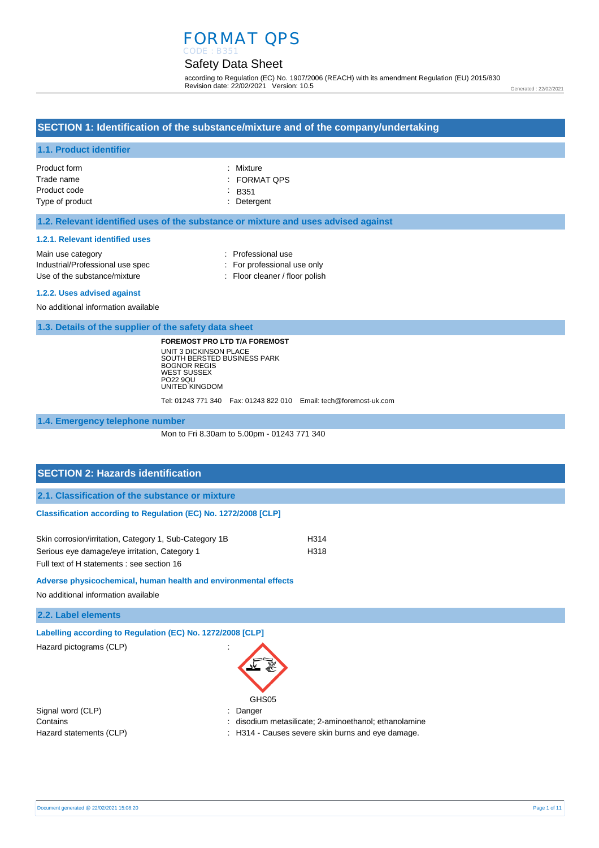#### Safety Data Sheet CODE : B351

according to Regulation (EC) No. 1907/2006 (REACH) with its amendment Regulation (EU) 2015/830 Revision date: 22/02/2021 Version: 10.5

Generated : 22/02/2021

#### **SECTION 1: Identification of the substance/mixture and of the company/undertaking**

#### **1.1. Product identifier**

| Product form    | : Mixture    |
|-----------------|--------------|
| Trade name      | : FORMAT QPS |
| Product code    | $-B351$      |
| Type of product | : Detergent  |

#### **1.2. Relevant identified uses of the substance or mixture and uses advised against**

#### **1.2.1. Relevant identified uses**

| Main use category                | : Professional use             |
|----------------------------------|--------------------------------|
| Industrial/Professional use spec | : For professional use only    |
| Use of the substance/mixture     | : Floor cleaner / floor polish |

#### **1.2.2. Uses advised against**

No additional information available

**1.3. Details of the supplier of the safety data sheet**

**FOREMOST PRO LTD T/A FOREMOST** UNIT 3 DICKINSON PLACE SOUTH BERSTED BUSINESS PARK BOGNOR REGIS WEST SUSSEX PO22 9QU UNITED KINGDOM

Tel: 01243 771 340 Fax: 01243 822 010 Email: tech@foremost-uk.com

**1.4. Emergency telephone number**

Mon to Fri 8.30am to 5.00pm - 01243 771 340

## **SECTION 2: Hazards identification 2.1. Classification of the substance or mixture Classification according to Regulation (EC) No. 1272/2008 [CLP]** Skin corrosion/irritation, Category 1, Sub-Category 1B H314

Serious eye damage/eye irritation, Category 1 H318 Full text of H statements : see section 16

**Adverse physicochemical, human health and environmental effects** 

No additional information available

**2.2. Label elements**

**Labelling according to Regulation (EC) No. 1272/2008 [CLP]** 

Hazard pictograms (CLP) in the state of the state of the state of the state of the state of the state of the state of the state of the state of the state of the state of the state of the state of the state of the state of

| GHS05 |
|-------|

Signal word (CLP)  $\qquad \qquad$ : Danger

Contains : disodium metasilicate; 2-aminoethanol; ethanolamine

Hazard statements (CLP)  $\qquad \qquad$ : H314 - Causes severe skin burns and eye damage.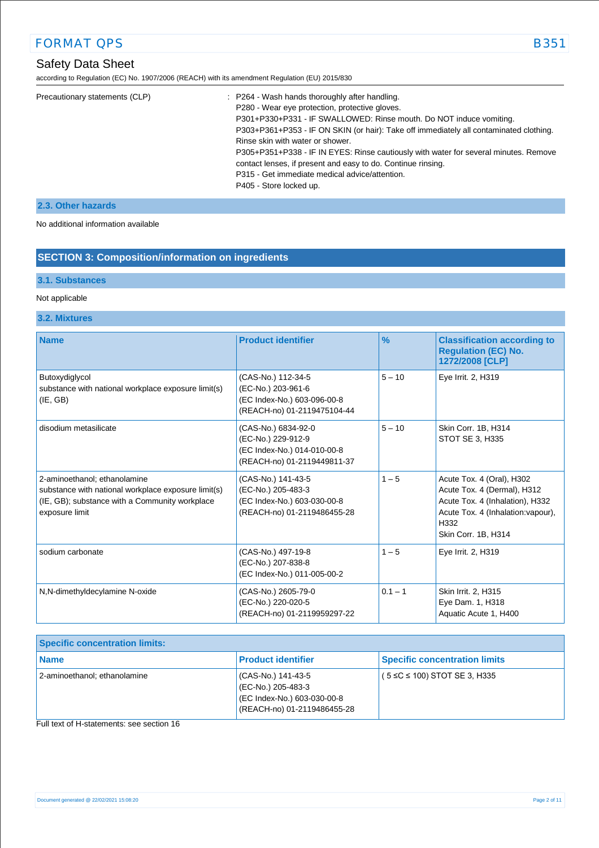according to Regulation (EC) No. 1907/2006 (REACH) with its amendment Regulation (EU) 2015/830

| Precautionary statements (CLP) | : P264 - Wash hands thoroughly after handling.                                         |
|--------------------------------|----------------------------------------------------------------------------------------|
|                                | P280 - Wear eye protection, protective gloves.                                         |
|                                | P301+P330+P331 - IF SWALLOWED: Rinse mouth. Do NOT induce vomiting.                    |
|                                | P303+P361+P353 - IF ON SKIN (or hair): Take off immediately all contaminated clothing. |
|                                | Rinse skin with water or shower.                                                       |
|                                | P305+P351+P338 - IF IN EYES: Rinse cautiously with water for several minutes. Remove   |
|                                | contact lenses, if present and easy to do. Continue rinsing.                           |
|                                | P315 - Get immediate medical advice/attention.                                         |
|                                | P405 - Store locked up.                                                                |
|                                |                                                                                        |

#### **2.3. Other hazards**

No additional information available

#### **SECTION 3: Composition/information on ingredients**

#### **3.1. Substances**

#### Not applicable

#### **3.2. Mixtures**

| <b>Name</b>                                                                                                                                             | <b>Product identifier</b>                                                                               | $\%$      | <b>Classification according to</b><br><b>Regulation (EC) No.</b><br>1272/2008 [CLP]                                                                              |
|---------------------------------------------------------------------------------------------------------------------------------------------------------|---------------------------------------------------------------------------------------------------------|-----------|------------------------------------------------------------------------------------------------------------------------------------------------------------------|
| Butoxydiglycol<br>substance with national workplace exposure limit(s)<br>(IE, GB)                                                                       | (CAS-No.) 112-34-5<br>(EC-No.) 203-961-6<br>(EC Index-No.) 603-096-00-8<br>(REACH-no) 01-2119475104-44  | $5 - 10$  | Eye Irrit. 2, H319                                                                                                                                               |
| disodium metasilicate                                                                                                                                   | (CAS-No.) 6834-92-0<br>(EC-No.) 229-912-9<br>(EC Index-No.) 014-010-00-8<br>(REACH-no) 01-2119449811-37 | $5 - 10$  | Skin Corr. 1B, H314<br>STOT SE 3, H335                                                                                                                           |
| 2-aminoethanol; ethanolamine<br>substance with national workplace exposure limit(s)<br>(IE, GB); substance with a Community workplace<br>exposure limit | (CAS-No.) 141-43-5<br>(EC-No.) 205-483-3<br>(EC Index-No.) 603-030-00-8<br>(REACH-no) 01-2119486455-28  | $1 - 5$   | Acute Tox. 4 (Oral), H302<br>Acute Tox. 4 (Dermal), H312<br>Acute Tox. 4 (Inhalation), H332<br>Acute Tox. 4 (Inhalation: vapour),<br>H332<br>Skin Corr. 1B, H314 |
| sodium carbonate                                                                                                                                        | (CAS-No.) 497-19-8<br>(EC-No.) 207-838-8<br>(EC Index-No.) 011-005-00-2                                 | $1 - 5$   | Eye Irrit. 2, H319                                                                                                                                               |
| N,N-dimethyldecylamine N-oxide                                                                                                                          | (CAS-No.) 2605-79-0<br>(EC-No.) 220-020-5<br>(REACH-no) 01-2119959297-22                                | $0.1 - 1$ | Skin Irrit. 2, H315<br>Eye Dam. 1, H318<br>Aquatic Acute 1, H400                                                                                                 |

| <b>Specific concentration limits:</b> |                                                                                                        |                                      |
|---------------------------------------|--------------------------------------------------------------------------------------------------------|--------------------------------------|
| l Name                                | <b>Product identifier</b>                                                                              | <b>Specific concentration limits</b> |
| 2-aminoethanol; ethanolamine          | (CAS-No.) 141-43-5<br>(EC-No.) 205-483-3<br>(EC Index-No.) 603-030-00-8<br>(REACH-no) 01-2119486455-28 | $(5 \le C \le 100)$ STOT SE 3, H335  |

Full text of H-statements: see section 16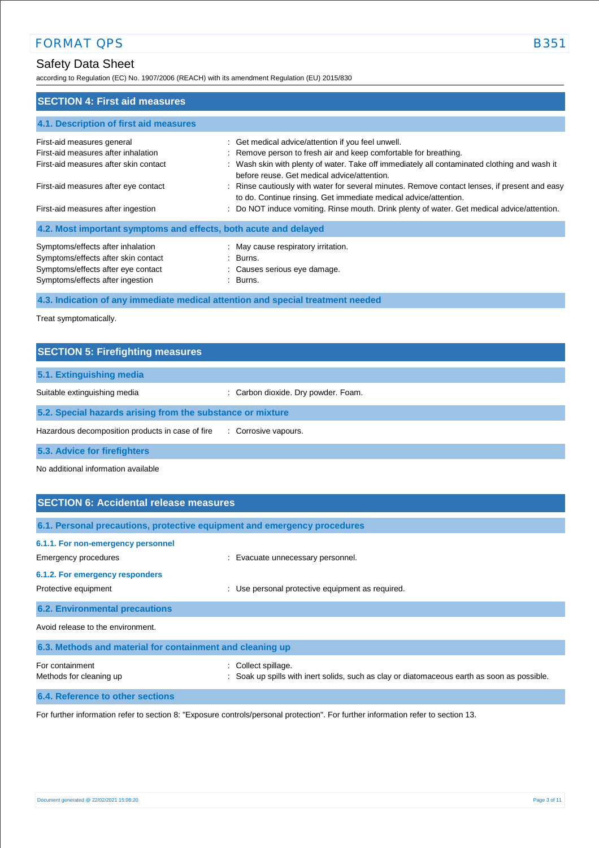## Safety Data Sheet

according to Regulation (EC) No. 1907/2006 (REACH) with its amendment Regulation (EU) 2015/830

| <b>SECTION 4: First aid measures</b>                             |                                                                                                                                                                   |
|------------------------------------------------------------------|-------------------------------------------------------------------------------------------------------------------------------------------------------------------|
| 4.1. Description of first aid measures                           |                                                                                                                                                                   |
| First-aid measures general                                       | : Get medical advice/attention if you feel unwell.                                                                                                                |
| First-aid measures after inhalation                              | : Remove person to fresh air and keep comfortable for breathing.                                                                                                  |
| First-aid measures after skin contact                            | : Wash skin with plenty of water. Take off immediately all contaminated clothing and wash it<br>before reuse. Get medical advice/attention.                       |
| First-aid measures after eye contact                             | : Rinse cautiously with water for several minutes. Remove contact lenses, if present and easy<br>to do. Continue rinsing. Get immediate medical advice/attention. |
| First-aid measures after ingestion                               | : Do NOT induce vomiting. Rinse mouth. Drink plenty of water. Get medical advice/attention.                                                                       |
| 4.2. Most important symptoms and effects, both acute and delayed |                                                                                                                                                                   |
| Symptoms/effects after inhalation                                | : May cause respiratory irritation.                                                                                                                               |
| Symptoms/effects after skin contact                              | : Burns.                                                                                                                                                          |
| Symptoms/effects after eye contact                               | : Causes serious eye damage.                                                                                                                                      |
| Symptoms/effects after ingestion                                 | : Burns.                                                                                                                                                          |

**4.3. Indication of any immediate medical attention and special treatment needed**

Treat symptomatically.

| <b>SECTION 5: Firefighting measures</b>                    |                                     |
|------------------------------------------------------------|-------------------------------------|
| 5.1. Extinguishing media                                   |                                     |
| Suitable extinguishing media                               | : Carbon dioxide. Dry powder. Foam. |
| 5.2. Special hazards arising from the substance or mixture |                                     |
| Hazardous decomposition products in case of fire           | : Corrosive vapours.                |
| 5.3. Advice for firefighters                               |                                     |

No additional information available

| <b>SECTION 6: Accidental release measures</b>                                                                         |                                                                                                                |  |
|-----------------------------------------------------------------------------------------------------------------------|----------------------------------------------------------------------------------------------------------------|--|
| 6.1. Personal precautions, protective equipment and emergency procedures                                              |                                                                                                                |  |
| 6.1.1. For non-emergency personnel<br>Emergency procedures<br>6.1.2. For emergency responders<br>Protective equipment | : Evacuate unnecessary personnel.<br>Use personal protective equipment as required.                            |  |
| <b>6.2. Environmental precautions</b>                                                                                 |                                                                                                                |  |
| Avoid release to the environment.                                                                                     |                                                                                                                |  |
| 6.3. Methods and material for containment and cleaning up                                                             |                                                                                                                |  |
| For containment<br>Methods for cleaning up                                                                            | Collect spillage.<br>Soak up spills with inert solids, such as clay or diatomaceous earth as soon as possible. |  |
| 6.4. Reference to other sections                                                                                      |                                                                                                                |  |

For further information refer to section 8: "Exposure controls/personal protection". For further information refer to section 13.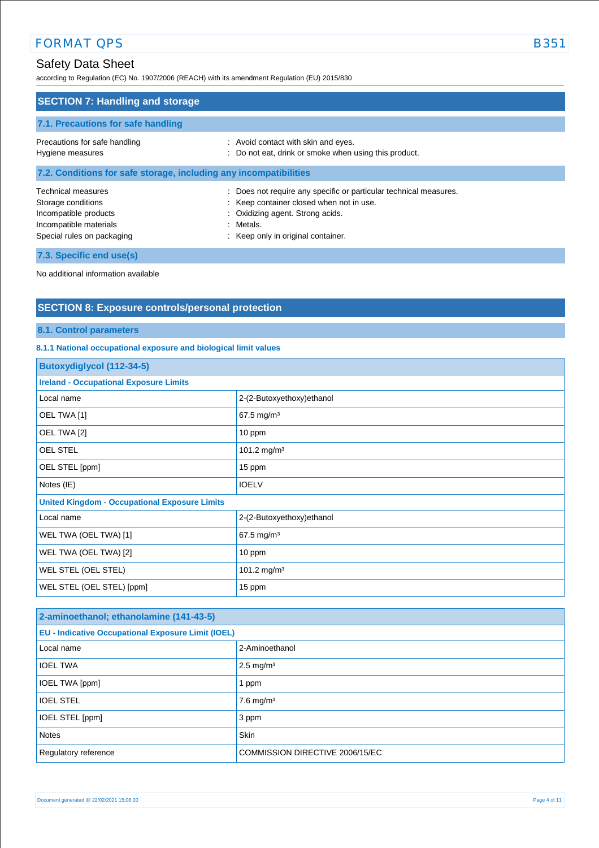## Safety Data Sheet

according to Regulation (EC) No. 1907/2006 (REACH) with its amendment Regulation (EU) 2015/830

| <b>SECTION 7: Handling and storage</b>                                                                                           |                                                                                                                                                                                                      |  |
|----------------------------------------------------------------------------------------------------------------------------------|------------------------------------------------------------------------------------------------------------------------------------------------------------------------------------------------------|--|
| 7.1. Precautions for safe handling                                                                                               |                                                                                                                                                                                                      |  |
| Precautions for safe handling<br>Hygiene measures                                                                                | : Avoid contact with skin and eyes.<br>: Do not eat, drink or smoke when using this product.                                                                                                         |  |
| 7.2. Conditions for safe storage, including any incompatibilities                                                                |                                                                                                                                                                                                      |  |
| <b>Technical measures</b><br>Storage conditions<br>Incompatible products<br>Incompatible materials<br>Special rules on packaging | : Does not require any specific or particular technical measures.<br>: Keep container closed when not in use.<br>: Oxidizing agent. Strong acids.<br>: Metals.<br>: Keep only in original container. |  |
| 7.3. Specific end use(s)                                                                                                         |                                                                                                                                                                                                      |  |

No additional information available

## **SECTION 8: Exposure controls/personal protection**

#### **8.1. Control parameters**

#### **8.1.1 National occupational exposure and biological limit values**

| <b>Butoxydiglycol (112-34-5)</b>                     |                           |  |
|------------------------------------------------------|---------------------------|--|
| <b>Ireland - Occupational Exposure Limits</b>        |                           |  |
| Local name                                           | 2-(2-Butoxyethoxy)ethanol |  |
| OEL TWA [1]                                          | 67.5 mg/m <sup>3</sup>    |  |
| OEL TWA [2]                                          | 10 ppm                    |  |
| <b>OEL STEL</b>                                      | 101.2 mg/m <sup>3</sup>   |  |
| OEL STEL [ppm]                                       | 15 ppm                    |  |
| Notes (IE)                                           | <b>IOELV</b>              |  |
| <b>United Kingdom - Occupational Exposure Limits</b> |                           |  |
| Local name                                           | 2-(2-Butoxyethoxy)ethanol |  |
| WEL TWA (OEL TWA) [1]                                | 67.5 mg/m <sup>3</sup>    |  |
| WEL TWA (OEL TWA) [2]                                | 10 ppm                    |  |
| WEL STEL (OEL STEL)                                  | 101.2 mg/m <sup>3</sup>   |  |
| WEL STEL (OEL STEL) [ppm]                            | 15 ppm                    |  |

| 2-aminoethanol; ethanolamine (141-43-5)                   |                                 |  |
|-----------------------------------------------------------|---------------------------------|--|
| <b>EU - Indicative Occupational Exposure Limit (IOEL)</b> |                                 |  |
| Local name                                                | 2-Aminoethanol                  |  |
| <b>IOEL TWA</b>                                           | $2.5 \text{ mg/m}^3$            |  |
| IOEL TWA [ppm]                                            | ppm                             |  |
| <b>IOEL STEL</b>                                          | $7.6$ mg/m <sup>3</sup>         |  |
| IOEL STEL [ppm]                                           | 3 ppm                           |  |
| <b>Notes</b>                                              | Skin                            |  |
| Regulatory reference                                      | COMMISSION DIRECTIVE 2006/15/EC |  |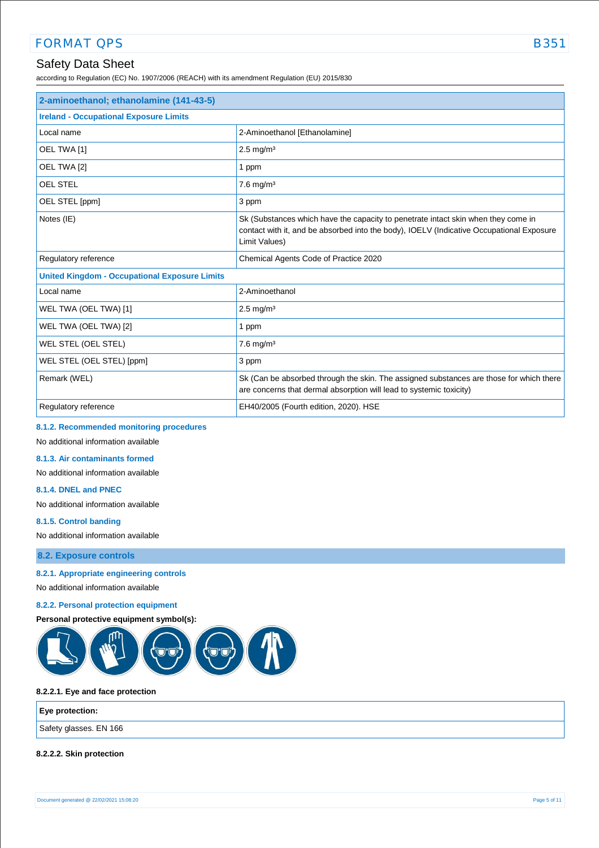## Safety Data Sheet

according to Regulation (EC) No. 1907/2006 (REACH) with its amendment Regulation (EU) 2015/830

| 2-aminoethanol; ethanolamine (141-43-5)              |                                                                                                                                                                                                |  |
|------------------------------------------------------|------------------------------------------------------------------------------------------------------------------------------------------------------------------------------------------------|--|
| <b>Ireland - Occupational Exposure Limits</b>        |                                                                                                                                                                                                |  |
| Local name                                           | 2-Aminoethanol [Ethanolamine]                                                                                                                                                                  |  |
| OEL TWA [1]                                          | $2.5$ mg/m <sup>3</sup>                                                                                                                                                                        |  |
| OEL TWA [2]                                          | 1 ppm                                                                                                                                                                                          |  |
| <b>OEL STEL</b>                                      | $7.6$ mg/m <sup>3</sup>                                                                                                                                                                        |  |
| OEL STEL [ppm]                                       | 3 ppm                                                                                                                                                                                          |  |
| Notes (IE)                                           | Sk (Substances which have the capacity to penetrate intact skin when they come in<br>contact with it, and be absorbed into the body), IOELV (Indicative Occupational Exposure<br>Limit Values) |  |
| Regulatory reference                                 | Chemical Agents Code of Practice 2020                                                                                                                                                          |  |
| <b>United Kingdom - Occupational Exposure Limits</b> |                                                                                                                                                                                                |  |
| Local name                                           | 2-Aminoethanol                                                                                                                                                                                 |  |
| WEL TWA (OEL TWA) [1]                                | $2.5$ mg/m <sup>3</sup>                                                                                                                                                                        |  |
| WEL TWA (OEL TWA) [2]                                | 1 ppm                                                                                                                                                                                          |  |
| WEL STEL (OEL STEL)                                  | $7.6$ mg/m <sup>3</sup>                                                                                                                                                                        |  |
| WEL STEL (OEL STEL) [ppm]                            | 3 ppm                                                                                                                                                                                          |  |
| Remark (WEL)                                         | Sk (Can be absorbed through the skin. The assigned substances are those for which there<br>are concerns that dermal absorption will lead to systemic toxicity)                                 |  |
| Regulatory reference                                 | EH40/2005 (Fourth edition, 2020). HSE                                                                                                                                                          |  |

#### **8.1.2. Recommended monitoring procedures**

No additional information available

**8.1.3. Air contaminants formed** 

No additional information available

#### **8.1.4. DNEL and PNEC**

No additional information available

#### **8.1.5. Control banding**

No additional information available

**8.2. Exposure controls**

#### **8.2.1. Appropriate engineering controls**

No additional information available

#### **8.2.2. Personal protection equipment**

**Personal protective equipment symbol(s):**



#### **8.2.2.1. Eye and face protection**

#### **Eye protection:**

Safety glasses. EN 166

#### **8.2.2.2. Skin protection**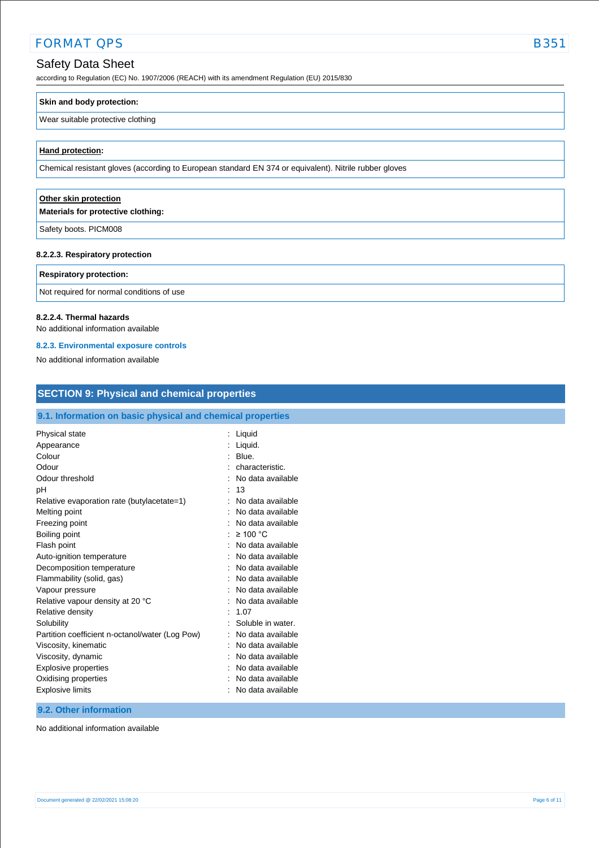### Safety Data Sheet

according to Regulation (EC) No. 1907/2006 (REACH) with its amendment Regulation (EU) 2015/830

## **Skin and body protection:**

#### Wear suitable protective clothing

#### **Hand protection:**

Chemical resistant gloves (according to European standard EN 374 or equivalent). Nitrile rubber gloves

#### **Other skin protection**

**Materials for protective clothing:**

Safety boots. PICM008

#### **8.2.2.3. Respiratory protection**

#### **Respiratory protection:**

Not required for normal conditions of use

#### **8.2.2.4. Thermal hazards**

No additional information available

#### **8.2.3. Environmental exposure controls**

No additional information available

| <b>SECTION 9: Physical and chemical properties</b>                                 |  |  |
|------------------------------------------------------------------------------------|--|--|
| 9.1. Information on basic physical and chemical properties                         |  |  |
| : Liquid<br>: Liquid.                                                              |  |  |
| $:$ Blue.<br>characteristic.<br>No data available                                  |  |  |
| : 13<br>No data available<br>No data available                                     |  |  |
| No data available<br>: $\geq 100$ °C                                               |  |  |
| : No data available<br>No data available<br>No data available                      |  |  |
| No data available<br>No data available                                             |  |  |
| No data available<br>: 1.07<br>Soluble in water.                                   |  |  |
| No data available<br>No data available                                             |  |  |
| No data available<br>No data available<br>No data available<br>: No data available |  |  |
|                                                                                    |  |  |

#### **9.2. Other information**

No additional information available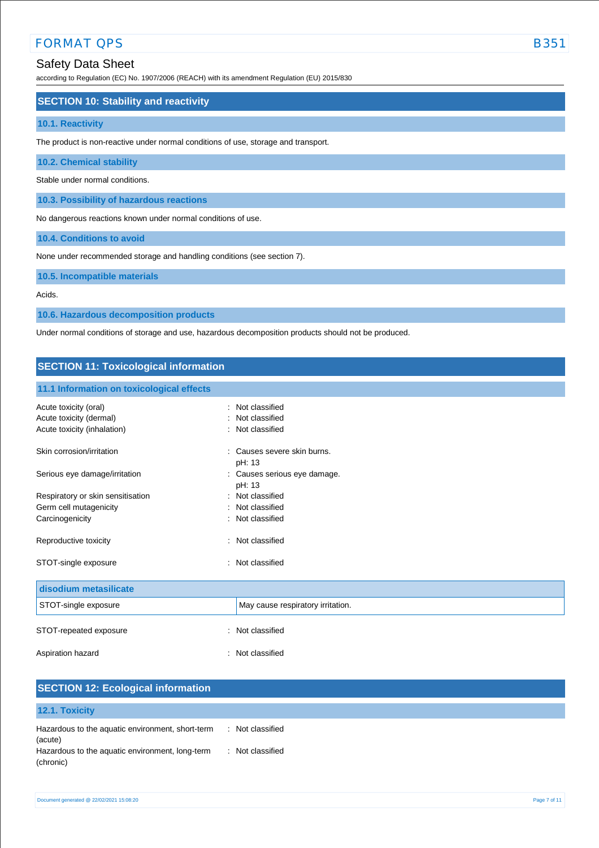### Safety Data Sheet

according to Regulation (EC) No. 1907/2006 (REACH) with its amendment Regulation (EU) 2015/830

#### **SECTION 10: Stability and reactivity**

#### **10.1. Reactivity**

The product is non-reactive under normal conditions of use, storage and transport.

#### **10.2. Chemical stability**

Stable under normal conditions.

**10.3. Possibility of hazardous reactions**

No dangerous reactions known under normal conditions of use.

**10.4. Conditions to avoid**

None under recommended storage and handling conditions (see section 7).

**10.5. Incompatible materials**

Acids.

**10.6. Hazardous decomposition products**

Under normal conditions of storage and use, hazardous decomposition products should not be produced.

#### **SECTION 11: Toxicological information**

#### **11.1 Information on toxicological effects**

| Acute toxicity (oral)             | Not classified                       |
|-----------------------------------|--------------------------------------|
| Acute toxicity (dermal)           | Not classified                       |
| Acute toxicity (inhalation)       | : Not classified                     |
| Skin corrosion/irritation         | Causes severe skin burns.<br>pH: 13  |
| Serious eye damage/irritation     | Causes serious eye damage.<br>pH: 13 |
| Respiratory or skin sensitisation | Not classified                       |
| Germ cell mutagenicity            | Not classified                       |
| Carcinogenicity                   | : Not classified                     |
| Reproductive toxicity             | : Not classified                     |
| STOT-single exposure              | : Not classified                     |
| disodium metasilicate             |                                      |
| STOT-single exposure              | May cause respiratory irritation.    |
| STOT-repeated exposure            | Not classified<br>÷                  |
| Aspiration hazard                 | : Not classified                     |

| <b>SECTION 12: Ecological information</b>                    |                                 |
|--------------------------------------------------------------|---------------------------------|
| 12.1. Toxicity                                               |                                 |
| Hazardous to the aquatic environment, short-term<br>(acute)  | : Not classified                |
| Hazardous to the aquatic environment, long-term<br>(chronic) | Not classified<br>$\mathcal{L}$ |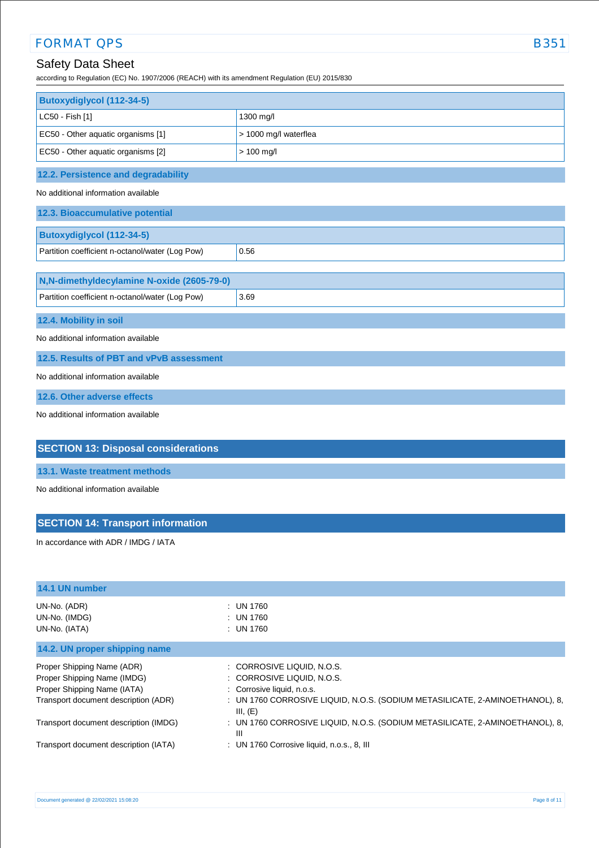## Safety Data Sheet

according to Regulation (EC) No. 1907/2006 (REACH) with its amendment Regulation (EU) 2015/830

| Butoxydiglycol (112-34-5)                       |                       |  |
|-------------------------------------------------|-----------------------|--|
| LC50 - Fish [1]                                 | 1300 mg/l             |  |
| EC50 - Other aquatic organisms [1]              | > 1000 mg/l waterflea |  |
| EC50 - Other aquatic organisms [2]              | $> 100$ mg/l          |  |
| 12.2. Persistence and degradability             |                       |  |
| No additional information available             |                       |  |
| 12.3. Bioaccumulative potential                 |                       |  |
| <b>Butoxydiglycol (112-34-5)</b>                |                       |  |
| Partition coefficient n-octanol/water (Log Pow) | 0.56                  |  |
|                                                 |                       |  |
| N,N-dimethyldecylamine N-oxide (2605-79-0)      |                       |  |
| Partition coefficient n-octanol/water (Log Pow) | 3.69                  |  |
| 12.4. Mobility in soil                          |                       |  |
| No additional information available             |                       |  |
| 12.5. Results of PBT and vPvB assessment        |                       |  |
| No additional information available             |                       |  |
| 12.6. Other adverse effects                     |                       |  |
| No additional information available             |                       |  |
| <b>SECTION 13: Disposal considerations</b>      |                       |  |

### **13.1. Waste treatment methods**

No additional information available

## **SECTION 14: Transport information**

In accordance with ADR / IMDG / IATA

| 14.1 UN number                        |                                                                                          |
|---------------------------------------|------------------------------------------------------------------------------------------|
|                                       |                                                                                          |
| UN-No. (ADR)                          | : UN 1760                                                                                |
| UN-No. (IMDG)                         | : UN 1760                                                                                |
| UN-No. (IATA)                         | : UN 1760                                                                                |
| 14.2. UN proper shipping name         |                                                                                          |
| Proper Shipping Name (ADR)            | : CORROSIVE LIQUID, N.O.S.                                                               |
| Proper Shipping Name (IMDG)           | : CORROSIVE LIQUID, N.O.S.                                                               |
| Proper Shipping Name (IATA)           | : Corrosive liquid, n.o.s.                                                               |
| Transport document description (ADR)  | : UN 1760 CORROSIVE LIQUID, N.O.S. (SODIUM METASILICATE, 2-AMINOETHANOL), 8,<br>III, (E) |
| Transport document description (IMDG) | : UN 1760 CORROSIVE LIQUID, N.O.S. (SODIUM METASILICATE, 2-AMINOETHANOL), 8,<br>Ш        |
| Transport document description (IATA) | : UN 1760 Corrosive liquid, n.o.s., 8, III                                               |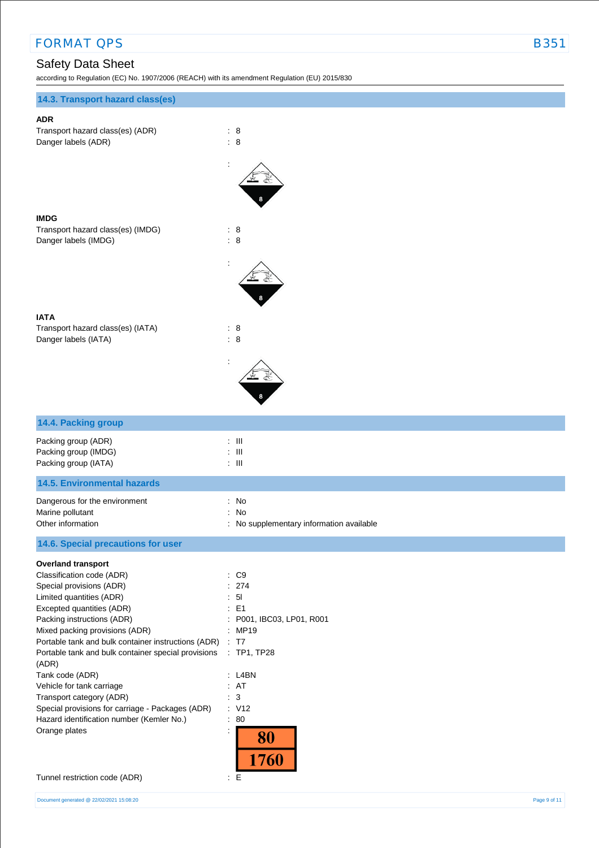# Safety Data Sheet

 $\alpha$  Regulation (EC) No. 1907/2006 (REACH) with its amendment Regulation (EU) 2015/9300

| according to Regulation (EC) No. 1907/2006 (REACH) with its amendment Regulation (EU) 2015/830                                                                                                                                                                                                                                                                                                                                                                                                                                   |                                                                                                                                                                                 |
|----------------------------------------------------------------------------------------------------------------------------------------------------------------------------------------------------------------------------------------------------------------------------------------------------------------------------------------------------------------------------------------------------------------------------------------------------------------------------------------------------------------------------------|---------------------------------------------------------------------------------------------------------------------------------------------------------------------------------|
| 14.3. Transport hazard class(es)                                                                                                                                                                                                                                                                                                                                                                                                                                                                                                 |                                                                                                                                                                                 |
| <b>ADR</b><br>Transport hazard class(es) (ADR)<br>Danger labels (ADR)                                                                                                                                                                                                                                                                                                                                                                                                                                                            | : 8<br>$\therefore$ 8                                                                                                                                                           |
| <b>IMDG</b><br>Transport hazard class(es) (IMDG)<br>Danger labels (IMDG)                                                                                                                                                                                                                                                                                                                                                                                                                                                         | : 8<br>$\therefore$ 8                                                                                                                                                           |
| <b>IATA</b><br>Transport hazard class(es) (IATA)<br>Danger labels (IATA)                                                                                                                                                                                                                                                                                                                                                                                                                                                         | : 8<br>$\therefore$ 8                                                                                                                                                           |
| 14.4. Packing group                                                                                                                                                                                                                                                                                                                                                                                                                                                                                                              |                                                                                                                                                                                 |
| Packing group (ADR)<br>Packing group (IMDG)<br>Packing group (IATA)                                                                                                                                                                                                                                                                                                                                                                                                                                                              | $: \mathbb{H}$<br>$:$ $\mathbb H$<br>$\div$ III                                                                                                                                 |
| <b>14.5. Environmental hazards</b>                                                                                                                                                                                                                                                                                                                                                                                                                                                                                               |                                                                                                                                                                                 |
| Dangerous for the environment<br>Marine pollutant<br>Other information                                                                                                                                                                                                                                                                                                                                                                                                                                                           | No<br>÷<br>No<br>: No supplementary information available                                                                                                                       |
| 14.6. Special precautions for user                                                                                                                                                                                                                                                                                                                                                                                                                                                                                               |                                                                                                                                                                                 |
| <b>Overland transport</b><br>Classification code (ADR)<br>Special provisions (ADR)<br>Limited quantities (ADR)<br>Excepted quantities (ADR)<br>Packing instructions (ADR)<br>Mixed packing provisions (ADR)<br>Portable tank and bulk container instructions (ADR)<br>Portable tank and bulk container special provisions<br>(ADR)<br>Tank code (ADR)<br>Vehicle for tank carriage<br>Transport category (ADR)<br>Special provisions for carriage - Packages (ADR)<br>Hazard identification number (Kemler No.)<br>Orange plates | C <sub>9</sub><br>274<br>5 <sub>l</sub><br>÷<br>E <sub>1</sub><br>P001, IBC03, LP01, R001<br>: MP19<br>: T7<br>$:$ TP1, TP28<br>: L4BN<br>: AT<br>: 3<br>: V12<br>80<br>÷<br>80 |

1760

Tunnel restriction code (ADR) : E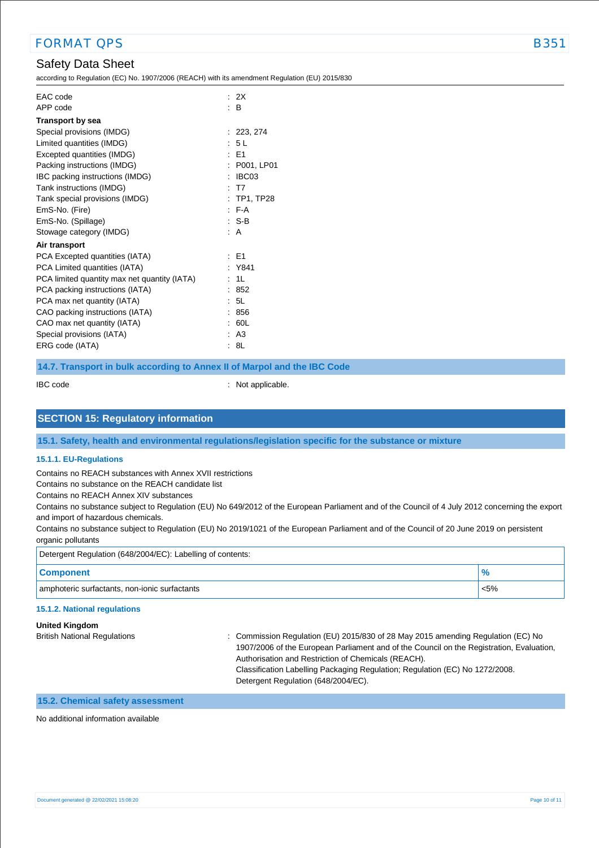## Safety Data Sheet

according to Regulation (EC) No. 1907/2006 (REACH) with its amendment Regulation (EU) 2015/830

| EAC code                                     | : 2X           |
|----------------------------------------------|----------------|
| APP code                                     | : B            |
| <b>Transport by sea</b>                      |                |
| Special provisions (IMDG)                    | : 223, 274     |
| Limited quantities (IMDG)                    | : 5L           |
| Excepted quantities (IMDG)                   | $\pm$ F1       |
| Packing instructions (IMDG)                  | : P001, LP01   |
| IBC packing instructions (IMDG)              | IBC03          |
| Tank instructions (IMDG)                     | : T7           |
| Tank special provisions (IMDG)               | : TP1, TP28    |
| EmS-No. (Fire)                               | $F-A$          |
| EmS-No. (Spillage)                           | : S-B          |
| Stowage category (IMDG)                      | : A            |
| Air transport                                |                |
| PCA Excepted quantities (IATA)               | : E1           |
| PCA Limited quantities (IATA)                | : Y841         |
| PCA limited quantity max net quantity (IATA) | 1 <sub>L</sub> |
| PCA packing instructions (IATA)              | 852            |
| PCA max net quantity (IATA)                  | : 5L           |
| CAO packing instructions (IATA)              | 856            |
| CAO max net quantity (IATA)                  | 60L            |
| Special provisions (IATA)                    | : A3           |
| ERG code (IATA)                              | -8L            |
|                                              |                |

#### **14.7. Transport in bulk according to Annex II of Marpol and the IBC Code**

IBC code : Not applicable.

#### **SECTION 15: Regulatory information**

**15.1. Safety, health and environmental regulations/legislation specific for the substance or mixture**

#### **15.1.1. EU-Regulations**

Contains no REACH substances with Annex XVII restrictions

Contains no substance on the REACH candidate list

Contains no REACH Annex XIV substances

Contains no substance subject to Regulation (EU) No 649/2012 of the European Parliament and of the Council of 4 July 2012 concerning the export and import of hazardous chemicals.

Contains no substance subject to Regulation (EU) No 2019/1021 of the European Parliament and of the Council of 20 June 2019 on persistent organic pollutants

| Detergent Regulation (648/2004/EC): Labelling of contents: |         |
|------------------------------------------------------------|---------|
| <b>Component</b>                                           |         |
| amphoteric surfactants, non-ionic surfactants              | $< 5\%$ |
|                                                            |         |

#### **15.1.2. National regulations**

**United Kingdom** British National Regulations : Commission Regulation (EU) 2015/830 of 28 May 2015 amending Regulation (EC) No 1907/2006 of the European Parliament and of the Council on the Registration, Evaluation, Authorisation and Restriction of Chemicals (REACH). Classification Labelling Packaging Regulation; Regulation (EC) No 1272/2008. Detergent Regulation (648/2004/EC).

### **15.2. Chemical safety assessment**

No additional information available